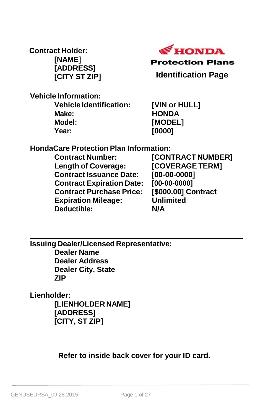**Contract Holder: [NAME] [ADDRESS] [CITY ST ZIP]**



**Vehicle Information:**

**Vehicle Identification: [VIN or HULL] Make: HONDA Year: [0000]**

**Model: [MODEL]**

# **HondaCare Protection Plan Information:**

**Contract Number: [CONTRACT NUMBER] Length of Coverage:** [COVERAGE<br> **Contract Issuance Date: [00-00-0000] Contract Issuance Date: [00-00-0000] Contract Expiration Date: [00-00-0000] Contract Purchase Price: [\$000.00] Contract Expiration Mileage: Unlimited** Unlimited Deductible:

**Issuing Dealer/Licensed Representative: Dealer Name Dealer Address Dealer City, State ZIP**

**Lienholder:**

**[LIENHOLDER NAME] [ADDRESS] [CITY, ST ZIP]**

**Refer to inside back cover for your ID card.**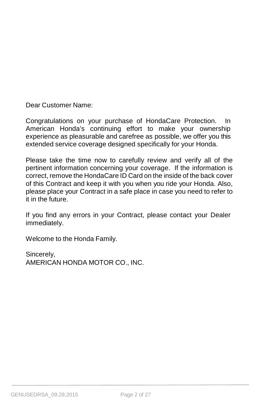Dear Customer Name:

Congratulations on your purchase of HondaCare Protection. In American Honda's continuing effort to make your ownership experience as pleasurable and carefree as possible, we offer you this extended service coverage designed specifically for your Honda.

Please take the time now to carefully review and verify all of the pertinent information concerning your coverage. If the information is correct, remove the HondaCare ID Card on the inside of the back cover of this Contract and keep it with you when you ride your Honda. Also, please place your Contract in a safe place in case you need to refer to it in the future.

If you find any errors in your Contract, please contact your Dealer immediately.

Welcome to the Honda Family.

Sincerely, AMERICAN HONDA MOTOR CO., INC.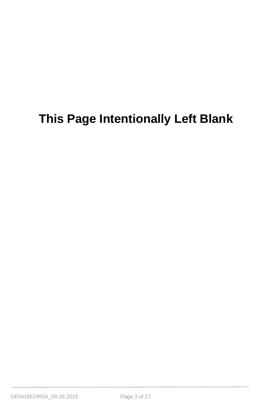# **This Page Intentionally Left Blank**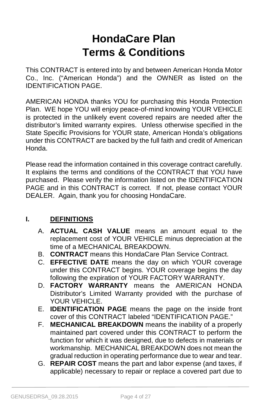# **HondaCare Plan Terms & Conditions**

This CONTRACT is entered into by and between American Honda Motor Co., Inc. ("American Honda") and the OWNER as listed on the IDENTIFICATION PAGE.

AMERICAN HONDA thanks YOU for purchasing this Honda Protection Plan. WE hope YOU will enjoy peace-of-mind knowing YOUR VEHICLE is protected in the unlikely event covered repairs are needed after the distributor's limited warranty expires. Unless otherwise specified in the State Specific Provisions for YOUR state, American Honda's obligations under this CONTRACT are backed by the full faith and credit of American Honda.

Please read the information contained in this coverage contract carefully. It explains the terms and conditions of the CONTRACT that YOU have purchased. Please verify the information listed on the IDENTIFICATION PAGE and in this CONTRACT is correct. If not, please contact YOUR DEALER. Again, thank you for choosing HondaCare.

# **I. DEFINITIONS**

- A. **ACTUAL CASH VALUE** means an amount equal to the replacement cost of YOUR VEHICLE minus depreciation at the time of a MECHANICAL BREAKDOWN.
- B. **CONTRACT** means this HondaCare Plan Service Contract.
- C. **EFFECTIVE DATE** means the day on which YOUR coverage under this CONTRACT begins. YOUR coverage begins the day following the expiration of YOUR FACTORY WARRANTY.
- D. **FACTORY WARRANTY** means the AMERICAN HONDA Distributor's Limited Warranty provided with the purchase of YOUR VEHICLE.
- E. **IDENTIFICATION PAGE** means the page on the inside front cover of this CONTRACT labeled "IDENTIFICATION PAGE."
- F. **MECHANICAL BREAKDOWN** means the inability of a properly maintained part covered under this CONTRACT to perform the function for which it was designed, due to defects in materials or workmanship. MECHANICAL BREAKDOWN does not mean the gradual reduction in operating performance due to wear and tear.
- G. **REPAIR COST** means the part and labor expense (and taxes, if applicable) necessary to repair or replace a covered part due to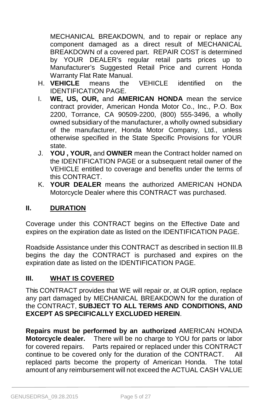MECHANICAL BREAKDOWN, and to repair or replace any component damaged as a direct result of MECHANICAL BREAKDOWN of a covered part. REPAIR COST is determined by YOUR DEALER's regular retail parts prices up to Manufacturer's Suggested Retail Price and current Honda Warranty Flat Rate Manual.

- H. **VEHICLE** means the VEHICLE identified on the IDENTIFICATION PAGE.
- I. **WE, US, OUR,** and **AMERICAN HONDA** mean the service contract provider, American Honda Motor Co., Inc., P.O. Box 2200, Torrance, CA 90509-2200, (800) 555-3496, a wholly owned subsidiary of the manufacturer, a wholly owned subsidiary of the manufacturer, Honda Motor Company, Ltd., unless otherwise specified in the State Specific Provisions for YOUR state.
- J. **YOU , YOUR,** and **OWNER** mean the Contract holder named on the IDENTIFICATION PAGE or a subsequent retail owner of the VEHICLE entitled to coverage and benefits under the terms of this CONTRACT.
- K. **YOUR DEALER** means the authorized AMERICAN HONDA Motorcycle Dealer where this CONTRACT was purchased.

# **II. DURATION**

Coverage under this CONTRACT begins on the Effective Date and expires on the expiration date as listed on the IDENTIFICATION PAGE.

Roadside Assistance under this CONTRACT as described in section III.B begins the day the CONTRACT is purchased and expires on the expiration date as listed on the IDENTIFICATION PAGE.

# **III. WHAT IS COVERED**

This CONTRACT provides that WE will repair or, at OUR option, replace any part damaged by MECHANICAL BREAKDOWN for the duration of the CONTRACT, **SUBJECT TO ALL TERMS AND CONDITIONS, AND EXCEPT AS SPECIFICALLY EXCLUDED HEREIN**.

**Repairs must be performed by an authorized** AMERICAN HONDA **Motorcycle dealer.** There will be no charge to YOU for parts or labor for covered repairs. Parts repaired or replaced under this CONTRACT Parts repaired or replaced under this CONTRACT<br>A only for the duration of the CONTRACT All continue to be covered only for the duration of the CONTRACT. replaced parts become the property of American Honda. The total amount of any reimbursement will not exceed the ACTUAL CASH VALUE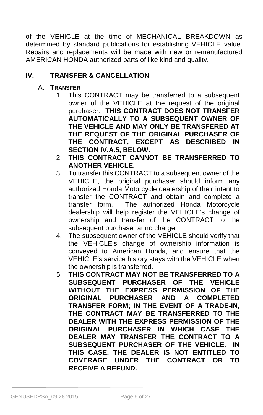of the VEHICLE at the time of MECHANICAL BREAKDOWN as determined by standard publications for establishing VEHICLE value. Repairs and replacements will be made with new or remanufactured AMERICAN HONDA authorized parts of like kind and quality.

# **IV. TRANSFER & CANCELLATION**

# A. **TRANSFER**

- 1. This CONTRACT may be transferred to a subsequent owner of the VEHICLE at the request of the original purchaser. **THIS CONTRACT DOES NOT TRANSFER AUTOMATICALLY TO A SUBSEQUENT OWNER OF THE VEHICLE AND MAY ONLY BE TRANSFERED AT THE REQUEST OF THE ORIGINAL PURCHASER OF THE CONTRACT, EXCEPT AS DESCRIBED IN SECTION IV.A.5, BELOW.**
- 2. **THIS CONTRACT CANNOT BE TRANSFERRED TO ANOTHER VEHICLE.**
- 3. To transfer this CONTRACT to a subsequent owner of the VEHICLE, the original purchaser should inform any authorized Honda Motorcycle dealership of their intent to transfer the CONTRACT and obtain and complete a transfer form. The authorized Honda Motorcycle dealership will help register the VEHICLE's change of ownership and transfer of the CONTRACT to the subsequent purchaser at no charge.
- 4. The subsequent owner of the VEHICLE should verify that the VEHICLE's change of ownership information is conveyed to American Honda, and ensure that the VEHICLE's service history stays with the VEHICLE when the ownership is transferred.
- 5. **THIS CONTRACT MAY NOT BE TRANSFERRED TO A SUBSEQUENT PURCHASER OF THE VEHICLE WITHOUT THE EXPRESS PERMISSION OF THE ORIGINAL PURCHASER AND A COMPLETED TRANSFER FORM; IN THE EVENT OF A TRADE-IN, THE CONTRACT MAY BE TRANSFERRED TO THE DEALER WITH THE EXPRESS PERMISSION OF THE ORIGINAL PURCHASER IN WHICH CASE THE DEALER MAY TRANSFER THE CONTRACT TO A SUBSEQUENT PURCHASER OF THE VEHICLE. IN THIS CASE, THE DEALER IS NOT ENTITLED TO COVERAGE UNDER THE CONTRACT OR TO RECEIVE A REFUND.**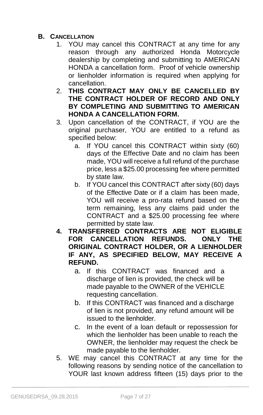# **B. CANCELLATION**

- 1. YOU may cancel this CONTRACT at any time for any reason through any authorized Honda Motorcycle dealership by completing and submitting to AMERICAN HONDA a cancellation form. Proof of vehicle ownership or lienholder information is required when applying for cancellation.
- 2. **THIS CONTRACT MAY ONLY BE CANCELLED BY THE CONTRACT HOLDER OF RECORD AND ONLY BY COMPLETING AND SUBMITTING TO AMERICAN HONDA A CANCELLATION FORM.**
- 3. Upon cancellation of the CONTRACT, if YOU are the original purchaser, YOU are entitled to a refund as specified below:
	- a. If YOU cancel this CONTRACT within sixty (60) days of the Effective Date and no claim has been made, YOU will receive a full refund of the purchase price, less a \$25.00 processing fee where permitted by state law.
	- b. If YOU cancel this CONTRACT after sixty (60) days of the Effective Date or if a claim has been made, YOU will receive a pro-rata refund based on the term remaining, less any claims paid under the CONTRACT and a \$25.00 processing fee where permitted by state law.
- **4. TRANSFERRED CONTRACTS ARE NOT ELIGIBLE FOR CANCELLATION REFUNDS. ONLY THE ORIGINAL CONTRACT HOLDER, OR A LIENHOLDER IF ANY, AS SPECIFIED BELOW, MAY RECEIVE A REFUND.**
	- a. If this CONTRACT was financed and a discharge of lien is provided, the check will be made payable to the OWNER of the VEHICLE requesting cancellation.
	- b. If this CONTRACT was financed and a discharge of lien is not provided, any refund amount will be issued to the lienholder.
	- c. In the event of a loan default or repossession for which the lienholder has been unable to reach the OWNER, the lienholder may request the check be made payable to the lienholder.
- 5. WE may cancel this CONTRACT at any time for the following reasons by sending notice of the cancellation to YOUR last known address fifteen (15) days prior to the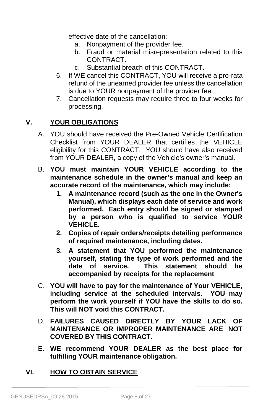effective date of the cancellation:

- a. Nonpayment of the provider fee.
- b. Fraud or material misrepresentation related to this **CONTRACT**
- c. Substantial breach of this CONTRACT.
- 6. If WE cancel this CONTRACT, YOU will receive a pro-rata refund of the unearned provider fee unless the cancellation is due to YOUR nonpayment of the provider fee.
- 7. Cancellation requests may require three to four weeks for processing.

# **V. YOUR OBLIGATIONS**

- A. YOU should have received the Pre-Owned Vehicle Certification Checklist from YOUR DEALER that certifies the VEHICLE eligibility for this CONTRACT. YOU should have also received from YOUR DEALER, a copy of the Vehicle's owner's manual.
- B. **YOU must maintain YOUR VEHICLE according to the maintenance schedule in the owner's manual and keep an accurate record of the maintenance, which may include:**
	- **1. A maintenance record (such as the one in the Owner's Manual), which displays each date of service and work performed. Each entry should be signed or stamped by a person who is qualified to service YOUR VEHICLE.**
	- **2. Copies of repair orders/receipts detailing performance of required maintenance, including dates.**
	- **3. A statement that YOU performed the maintenance yourself, stating the type of work performed and the date of service. This statement should be accompanied by receipts for the replacement**
- C. **YOU will have to pay for the maintenance of Your VEHICLE, including service at the scheduled intervals. YOU may perform the work yourself if YOU have the skills to do so. This will NOT void this CONTRACT.**
- D. **FAILURES CAUSED DIRECTLY BY YOUR LACK OF MAINTENANCE OR IMPROPER MAINTENANCE ARE NOT COVERED BY THIS CONTRACT.**
- E. **WE recommend YOUR DEALER as the best place for fulfilling YOUR maintenance obligation.**

# **VI. HOW TO OBTAIN SERVICE**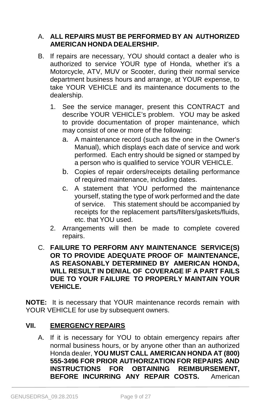# A. **ALL REPAIRS MUST BE PERFORMED BY AN AUTHORIZED AMERICAN HONDA DEALERSHIP.**

- B. If repairs are necessary, YOU should contact a dealer who is authorized to service YOUR type of Honda, whether it's a Motorcycle, ATV, MUV or Scooter, during their normal service department business hours and arrange, at YOUR expense, to take YOUR VEHICLE and its maintenance documents to the dealership.
	- 1. See the service manager, present this CONTRACT and describe YOUR VEHICLE's problem. YOU may be asked to provide documentation of proper maintenance, which may consist of one or more of the following:
		- a. A maintenance record (such as the one in the Owner's Manual), which displays each date of service and work performed. Each entry should be signed or stamped by a person who is qualified to service YOUR VEHICLE.
		- b. Copies of repair orders/receipts detailing performance of required maintenance, including dates.
		- c. A statement that YOU performed the maintenance yourself, stating the type of work performed and the date of service. This statement should be accompanied by receipts for the replacement parts/filters/gaskets/fluids, etc. that YOU used.
	- 2. Arrangements will then be made to complete covered repairs.
- C. **FAILURE TO PERFORM ANY MAINTENANCE SERVICE(S) OR TO PROVIDE ADEQUATE PROOF OF MAINTENANCE, AS REASONABLY DETERMINED BY AMERICAN HONDA, WILL RESULT IN DENIAL OF COVERAGE IF A PART FAILS DUE TO YOUR FAILURE TO PROPERLY MAINTAIN YOUR VEHICLE.**

**NOTE:** It is necessary that YOUR maintenance records remain with YOUR VEHICLE for use by subsequent owners.

# **VII. EMERGENCY REPAIRS**

A. If it is necessary for YOU to obtain emergency repairs after normal business hours, or by anyone other than an authorized Honda dealer, **YOU MUST CALL AMERICAN HONDA AT (800) 555-3496 FOR PRIOR AUTHORIZATION FOR REPAIRS AND INSTRUCTIONS FOR OBTAINING REIMBURSEMENT, BEFORE INCURRING ANY REPAIR COSTS.** American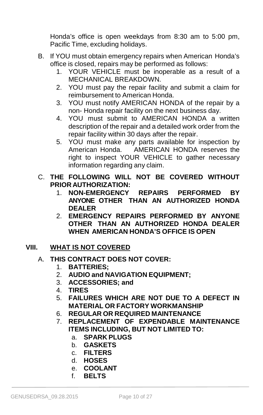Honda's office is open weekdays from 8:30 am to 5:00 pm, Pacific Time, excluding holidays.

- B. If YOU must obtain emergency repairs when American Honda's office is closed, repairs may be performed as follows:
	- 1. YOUR VEHICLE must be inoperable as a result of a MECHANICAL BREAKDOWN.
	- 2. YOU must pay the repair facility and submit a claim for reimbursement to American Honda.
	- 3. YOU must notify AMERICAN HONDA of the repair by a non- Honda repair facility on the next business day.
	- 4. YOU must submit to AMERICAN HONDA a written description of the repair and a detailed work order from the repair facility within 30 days after the repair.
	- 5. YOU must make any parts available for inspection by American Honda. AMERICAN HONDA reserves the right to inspect YOUR VEHICLE to gather necessary information regarding any claim.
- C. **THE FOLLOWING WILL NOT BE COVERED WITHOUT PRIOR AUTHORIZATION:**
	- 1. **NON-EMERGENCY REPAIRS PERFORMED BY ANYONE OTHER THAN AN AUTHORIZED HONDA DEALER**
	- 2. **EMERGENCY REPAIRS PERFORMED BY ANYONE OTHER THAN AN AUTHORIZED HONDA DEALER WHEN AMERICAN HONDA'S OFFICE IS OPEN**

# **VIII. WHAT IS NOT COVERED**

- A. **THIS CONTRACT DOES NOT COVER:**
	- 1. **BATTERIES;**
	- 2. **AUDIO and NAVIGATION EQUIPMENT;**
	- 3. **ACCESSORIES; and**
	- 4. **TIRES**
	- 5. **FAILURES WHICH ARE NOT DUE TO A DEFECT IN MATERIAL OR FACTORY WORKMANSHIP**
	- 6. **REGULAR OR REQUIRED MAINTENANCE**
	- 7. **REPLACEMENT OF EXPENDABLE MAINTENANCE ITEMS INCLUDING, BUT NOT LIMITED TO:**
		- a. **SPARK PLUGS**
		- b. **GASKETS**
		- c. **FILTERS**
		- d. **HOSES**
		- e. **COOLANT**
		- f. **BELTS**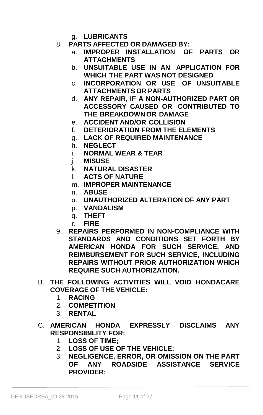- g. **LUBRICANTS**
- 8. **PARTS AFFECTED OR DAMAGED BY:**
	- a. **IMPROPER INSTALLATION OF PARTS OR ATTACHMENTS**
	- b. **UNSUITABLE USE IN AN APPLICATION FOR WHICH THE PART WAS NOT DESIGNED**
	- c. **INCORPORATION OR USE OF UNSUITABLE ATTACHMENTS OR PARTS**
	- d. **ANY REPAIR, IF A NON-AUTHORIZED PART OR ACCESSORY CAUSED OR CONTRIBUTED TO THE BREAKDOWN OR DAMAGE**
	- e. **ACCIDENT AND/OR COLLISION**
	- f. **DETERIORATION FROM THE ELEMENTS**
	- g. **LACK OF REQUIRED MAINTENANCE**
	- h. **NEGLECT**
	- i. **NORMAL WEAR & TEAR**
	- j. **MISUSE**
	- k. **NATURAL DISASTER**
	- l. **ACTS OF NATURE**
	- m. **IMPROPER MAINTENANCE**
	- n. **ABUSE**
	- o. **UNAUTHORIZED ALTERATION OF ANY PART**
	- p. **VANDALISM**
	- q. **THEFT**
	- r. **FIRE**
- 9. **REPAIRS PERFORMED IN NON-COMPLIANCE WITH STANDARDS AND CONDITIONS SET FORTH BY AMERICAN HONDA FOR SUCH SERVICE, AND REIMBURSEMENT FOR SUCH SERVICE, INCLUDING REPAIRS WITHOUT PRIOR AUTHORIZATION WHICH REQUIRE SUCH AUTHORIZATION.**
- B. **THE FOLLOWING ACTIVITIES WILL VOID HONDACARE COVERAGE OF THE VEHICLE:**
	- 1. **RACING**
	- 2. **COMPETITION**
	- 3. **RENTAL**
- C. **AMERICAN HONDA EXPRESSLY DISCLAIMS ANY RESPONSIBILITY FOR:**
	- 1. **LOSS OF TIME;**
	- 2. **LOSS OF USE OF THE VEHICLE;**
	- 3. **NEGLIGENCE, ERROR, OR OMISSION ON THE PART OF ANY ROADSIDE ASSISTANCE SERVICE PROVIDER;**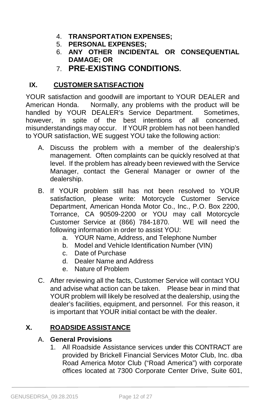- 4. **TRANSPORTATION EXPENSES;**
- 5. **PERSONAL EXPENSES;**
- 6. **ANY OTHER INCIDENTAL OR CONSEQUENTIAL DAMAGE; OR**
- 7. **PRE-EXISTING CONDITIONS.**

# **IX. CUSTOMER SATISFACTION**

YOUR satisfaction and goodwill are important to YOUR DEALER and American Honda. Normally, any problems with the product will be handled by YOUR DEALER's Service Department. Sometimes, however, in spite of the best intentions of all concerned, misunderstandings may occur. If YOUR problem has not been handled to YOUR satisfaction, WE suggest YOU take the following action:

- A. Discuss the problem with a member of the dealership's management. Often complaints can be quickly resolved at that level. If the problem has already been reviewed with the Service Manager, contact the General Manager or owner of the dealership.
- B. If YOUR problem still has not been resolved to YOUR satisfaction, please write: Motorcycle Customer Service Department, American Honda Motor Co., Inc., P.O. Box 2200, Torrance, CA 90509-2200 or YOU may call Motorcycle Customer Service at (866) 784-1870. WE will need the following information in order to assist YOU:
	- a. YOUR Name, Address, and Telephone Number
	- b. Model and Vehicle Identification Number (VIN)
	- c. Date of Purchase
	- d. Dealer Name and Address
	- e. Nature of Problem
- C. After reviewing all the facts, Customer Service will contact YOU and advise what action can be taken. Please bear in mind that YOUR problem will likely be resolved at the dealership, using the dealer's facilities, equipment, and personnel. For this reason, it is important that YOUR initial contact be with the dealer.

# **X. ROADSIDE ASSISTANCE**

# A. **General Provisions**

1. All Roadside Assistance services under this CONTRACT are provided by Brickell Financial Services Motor Club, Inc. dba Road America Motor Club ("Road America") with corporate offices located at 7300 Corporate Center Drive, Suite 601,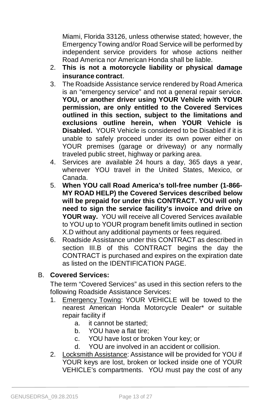Miami, Florida 33126, unless otherwise stated; however, the Emergency Towing and/or Road Service will be performed by independent service providers for whose actions neither Road America nor American Honda shall be liable.

- 2. **This is not a motorcycle liability or physical damage insurance contract**.
- 3. The Roadside Assistance service rendered by Road America is an "emergency service" and not a general repair service. **YOU, or another driver using YOUR Vehicle with YOUR permission, are only entitled to the Covered Services outlined in this section, subject to the limitations and exclusions outline herein, when YOUR Vehicle is Disabled.** YOUR Vehicle is considered to be Disabled if it is unable to safely proceed under its own power either on YOUR premises (garage or driveway) or any normally traveled public street, highway or parking area.
- 4. Services are available 24 hours a day, 365 days a year, wherever YOU travel in the United States, Mexico, or Canada.
- 5. **When YOU call Road America's toll-free number (1-866- MY ROAD HELP) the Covered Services described below will be prepaid for under this CONTRACT. YOU will only need to sign the service facility's invoice and drive on YOUR way.** YOU will receive all Covered Services available to YOU up to YOUR program benefit limits outlined in section X.D without any additional payments or fees required.
- 6. Roadside Assistance under this CONTRACT as described in section III.B of this CONTRACT begins the day the CONTRACT is purchased and expires on the expiration date as listed on the IDENTIFICATION PAGE.

# B. **Covered Services:**

The term "Covered Services" as used in this section refers to the following Roadside Assistance Services:

- 1. Emergency Towing: YOUR VEHICLE will be towed to the nearest American Honda Motorcycle Dealer\* or suitable repair facility if
	- a. it cannot be started;
	- b. YOU have a flat tire;
	- c. YOU have lost or broken Your key; or
	- d. YOU are involved in an accident or collision.
- 2. Locksmith Assistance: Assistance will be provided for YOU if YOUR keys are lost, broken or locked inside one of YOUR VEHICLE's compartments. YOU must pay the cost of any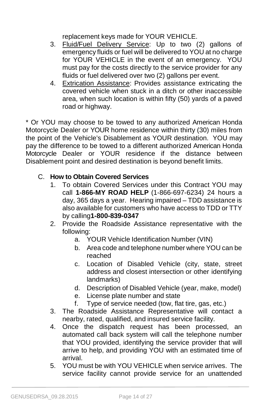replacement keys made for YOUR VEHICLE.

- 3. Fluid/Fuel Delivery Service: Up to two (2) gallons of emergency fluids or fuel will be delivered to YOU at no charge for YOUR VEHICLE in the event of an emergency. YOU must pay for the costs directly to the service provider for any fluids or fuel delivered over two (2) gallons per event.
- 4. Extrication Assistance: Provides assistance extricating the covered vehicle when stuck in a ditch or other inaccessible area, when such location is within fifty (50) yards of a paved road or highway.

\* Or YOU may choose to be towed to any authorized American Honda Motorcycle Dealer or YOUR home residence within thirty (30) miles from the point of the Vehicle's Disablement as YOUR destination. YOU may pay the difference to be towed to a different authorized American Honda Motorcycle Dealer or YOUR residence if the distance between Disablement point and desired destination is beyond benefit limits.

# C. **How to Obtain Covered Services**

- 1. To obtain Covered Services under this Contract YOU may call **1-866-MY ROAD HELP** (1-866-697-6234) 24 hours a day, 365 days a year. Hearing impaired – TDD assistance is also available for customers who have access to TDD or TTY by calling**1-800-839-0347**
- 2. Provide the Roadside Assistance representative with the following:
	- a. YOUR Vehicle Identification Number (VIN)
	- b. Area code and telephone number where YOU can be reached
	- c. Location of Disabled Vehicle (city, state, street address and closest intersection or other identifying landmarks)
	- d. Description of Disabled Vehicle (year, make, model)
	- e. License plate number and state
	- f. Type of service needed (tow, flat tire, gas, etc.)
- 3. The Roadside Assistance Representative will contact a nearby, rated, qualified, and insured service facility.
- 4. Once the dispatch request has been processed, an automated call back system will call the telephone number that YOU provided, identifying the service provider that will arrive to help, and providing YOU with an estimated time of arrival.
- 5. YOU must be with YOU VEHICLE when service arrives. The service facility cannot provide service for an unattended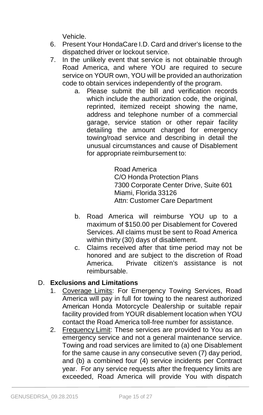Vehicle.

- 6. Present Your HondaCare I.D. Card and driver's license to the dispatched driver or lockout service.
- 7. In the unlikely event that service is not obtainable through Road America, and where YOU are required to secure service on YOUR own, YOU will be provided an authorization code to obtain services independently of the program.
	- a. Please submit the bill and verification records which include the authorization code, the original, reprinted, itemized receipt showing the name, address and telephone number of a commercial garage, service station or other repair facility detailing the amount charged for emergency towing/road service and describing in detail the unusual circumstances and cause of Disablement for appropriate reimbursement to:

Road America C/O Honda Protection Plans 7300 Corporate Center Drive, Suite 601 Miami, Florida 33126 Attn: Customer Care Department

- b. Road America will reimburse YOU up to a maximum of \$150.00 per Disablement for Covered Services. All claims must be sent to Road America within thirty (30) days of disablement.
- c. Claims received after that time period may not be honored and are subject to the discretion of Road America. Private citizen's assistance is not reimbursable.

# D. **Exclusions and Limitations**

- 1. Coverage Limits: For Emergency Towing Services, Road America will pay in full for towing to the nearest authorized American Honda Motorcycle Dealership or suitable repair facility provided from YOUR disablement location when YOU contact the Road America toll-free number for assistance.
- 2. Frequency Limit: These services are provided to You as an emergency service and not a general maintenance service. Towing and road services are limited to (a) one Disablement for the same cause in any consecutive seven (7) day period, and (b) a combined four (4) service incidents per Contract year. For any service requests after the frequency limits are exceeded, Road America will provide You with dispatch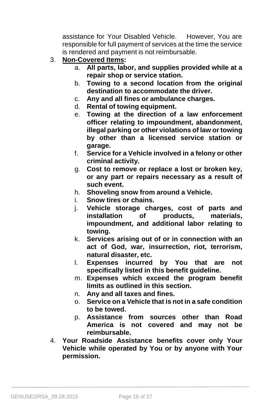assistance for Your Disabled Vehicle. However, You are responsible for full payment of services at the time the service is rendered and payment is not reimbursable.

- 3. **Non-Covered Items:**
	- a. **All parts, labor, and supplies provided while at a repair shop or service station.**
	- b. **Towing to a second location from the original destination to accommodate the driver.**
	- c. **Any and all fines or ambulance charges.**
	- d. **Rental of towing equipment.**
	- e. **Towing at the direction of a law enforcement officer relating to impoundment, abandonment, illegal parking or other violations of law ortowing by other than a licensed service station or garage.**
	- f. **Service for a Vehicle involved in a felony or other criminal activity.**
	- g. **Cost to remove or replace a lost or broken key, or any part or repairs necessary as a result of such event.**
	- h. **Shoveling snow from around a Vehicle.**
	- i. **Snow tires or chains.**
	- j. **Vehicle storage charges, cost of parts and installation of products, materials, impoundment, and additional labor relating to towing.**
	- k. **Services arising out of or in connection with an act of God, war, insurrection, riot, terrorism, natural disaster, etc.**
	- l. **Expenses incurred by You that are not specifically listed in this benefit guideline.**
	- m. **Expenses which exceed the program benefit limits as outlined in this section.**
	- n. **Any and all taxes and fines.**
	- o. **Service on a Vehicle that is not in a safe condition to be towed.**
	- p. **Assistance from sources other than Road America is not covered and may not be reimbursable.**
- 4. **Your Roadside Assistance benefits cover only Your Vehicle while operated by You or by anyone with Your permission.**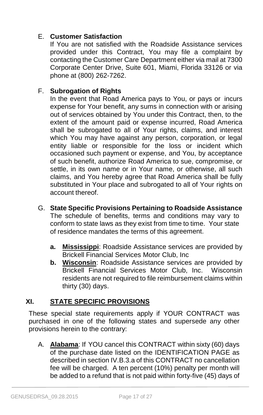# E. **Customer Satisfaction**

If You are not satisfied with the Roadside Assistance services provided under this Contract, You may file a complaint by contacting the Customer Care Department either via mail at 7300 Corporate Center Drive, Suite 601, Miami, Florida 33126 or via phone at (800) 262-7262.

# F. **Subrogation of Rights**

In the event that Road America pays to You, or pays or incurs expense for Your benefit, any sums in connection with or arising out of services obtained by You under this Contract, then, to the extent of the amount paid or expense incurred, Road America shall be subrogated to all of Your rights, claims, and interest which You may have against any person, corporation, or legal entity liable or responsible for the loss or incident which occasioned such payment or expense, and You, by acceptance of such benefit, authorize Road America to sue, compromise, or settle, in its own name or in Your name, or otherwise, all such claims, and You hereby agree that Road America shall be fully substituted in Your place and subrogated to all of Your rights on account thereof.

- G. **State Specific Provisions Pertaining to Roadside Assistance** The schedule of benefits, terms and conditions may vary to conform to state laws as they exist from time to time. Your state of residence mandates the terms of this agreement.
	- **a. Mississippi**: Roadside Assistance services are provided by Brickell Financial Services Motor Club, Inc
	- **b. Wisconsin**: Roadside Assistance services are provided by Brickell Financial Services Motor Club, Inc. Wisconsin residents are not required to file reimbursement claims within thirty (30) days.

# **XI. STATE SPECIFIC PROVISIONS**

These special state requirements apply if YOUR CONTRACT was purchased in one of the following states and supersede any other provisions herein to the contrary:

A. **Alabama**: If YOU cancel this CONTRACT within sixty (60) days of the purchase date listed on the IDENTIFICATION PAGE as described in section IV.B.3.a of this CONTRACT no cancellation fee will be charged. A ten percent (10%) penalty per month will be added to a refund that is not paid within forty-five (45) days of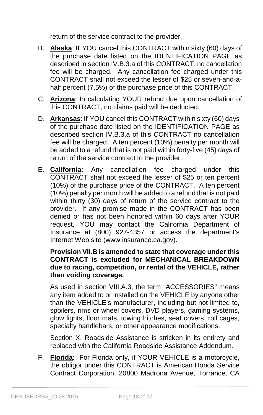return of the service contract to the provider.

- B. **Alaska**: If YOU cancel this CONTRACT within sixty (60) days of the purchase date listed on the IDENTIFICATION PAGE as described in section IV.B.3.a of this CONTRACT, no cancellation fee will be charged. Any cancellation fee charged under this CONTRACT shall not exceed the lesser of \$25 or seven-and-ahalf percent (7.5%) of the purchase price of this CONTRACT.
- C. **Arizona**: In calculating YOUR refund due upon cancellation of this CONTRACT, no claims paid will be deducted.
- D. **Arkansas**: If YOU cancel this CONTRACT within sixty (60) days of the purchase date listed on the IDENTIFICATION PAGE as described section IV.B.3.a of this CONTRACT no cancellation fee will be charged. A ten percent (10%) penalty per month will be added to a refund that is not paid within forty-five (45) days of return of the service contract to the provider.
- E. **California**: Any cancellation fee charged under this CONTRACT shall not exceed the lesser of \$25 or ten percent (10%) of the purchase price of the CONTRACT. A ten percent (10%) penalty per month will be added to a refund that is not paid within thirty (30) days of return of the service contract to the provider. If any promise made in the CONTRACT has been denied or has not been honored within 60 days after YOUR request, YOU may contact the California Department of Insurance at (800) 927-4357 or access the department's Internet Web site (www.insurance.ca.gov).

#### **Provision VII.B is amended to state that coverage under this CONTRACT is excluded for MECHANICAL BREAKDOWN due to racing, competition, or rental of the VEHICLE, rather than voiding coverage.**

As used in section VIII.A.3, the term "ACCESSORIES" means any item added to or installed on the VEHICLE by anyone other than the VEHICLE's manufacturer, including but not limited to, spoilers, rims or wheel covers, DVD players, gaming systems, glow lights, floor mats, towing hitches, seat covers, roll cages, specialty handlebars, or other appearance modifications.

Section X. Roadside Assistance is stricken in its entirety and replaced with the California Roadside Assistance Addendum.

F. **Florida**: For Florida only, if YOUR VEHICLE is a motorcycle, the obligor under this CONTRACT is American Honda Service Contract Corporation, 20800 Madrona Avenue, Torrance, CA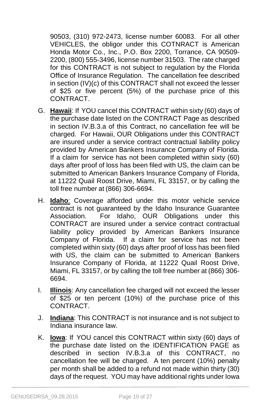90503, (310) 972-2473, license number 60083. For all other VEHICLES, the obligor under this COTNRACT is American Honda Motor Co., Inc., P.O. Box 2200, Torrance, CA 90509- 2200, (800) 555-3496, license number 31503. The rate charged for this CONTRACT is not subject to regulation by the Florida Office of Insurance Regulation.The cancellation fee described in section (IV)(c) of this CONTRACT shall not exceed the lesser of \$25 or five percent (5%) of the purchase price of this CONTRACT.

- G. **Hawaii**: If YOU cancel this CONTRACT within sixty (60) days of the purchase date listed on the CONTRACT Page as described in section IV.B.3.a of this Contract, no cancellation fee will be charged. For Hawaii, OUR Obligations under this CONTRACT are insured under a service contract contractual liability policy provided by American Bankers Insurance Company of Florida. If a claim for service has not been completed within sixty (60) days after proof of loss has been filed with US, the claim can be submitted to American Bankers Insurance Company of Florida, at 11222 Quail Roost Drive, Miami, FL 33157, or by calling the toll free number at (866) 306-6694.
- H. **Idaho**: Coverage afforded under this motor vehicle service contract is not guaranteed by the Idaho Insurance Guarantee Association. For Idaho, OUR Obligations under this CONTRACT are insured under a service contract contractual liability policy provided by American Bankers Insurance Company of Florida. If a claim for service has not been completed within sixty (60) days after proof of loss has been filed with US, the claim can be submitted to American Bankers Insurance Company of Florida, at 11222 Quail Roost Drive, Miami, FL 33157, or by calling the toll free number at (866) 306- 6694.
- I. **Illinois**: Any cancellation fee charged will not exceed the lesser of \$25 or ten percent (10%) of the purchase price of this CONTRACT.
- J. **Indiana**: This CONTRACT is not insurance and is not subject to Indiana insurance law.
- K. **Iowa**: If YOU cancel this CONTRACT within sixty (60) days of the purchase date listed on the IDENTIFICATION PAGE as described in section IV.B.3.a of this CONTRACT, no cancellation fee will be charged. A ten percent (10%) penalty per month shall be added to a refund not made within thirty (30) days of the request. YOU may have additional rights under Iowa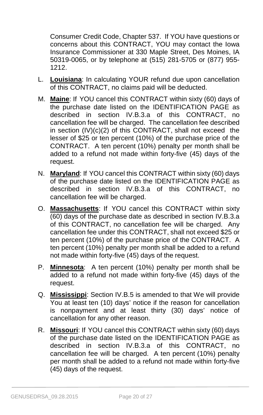Consumer Credit Code, Chapter 537. If YOU have questions or concerns about this CONTRACT, YOU may contact the Iowa Insurance Commissioner at 330 Maple Street, Des Moines, IA 50319-0065, or by telephone at (515) 281-5705 or (877) 955- 1212.

- L. **Louisiana**: In calculating YOUR refund due upon cancellation of this CONTRACT, no claims paid will be deducted.
- M. **Maine**: If YOU cancel this CONTRACT within sixty (60) days of the purchase date listed on the IDENTIFICATION PAGE as described in section IV.B.3.a of this CONTRACT, no cancellation fee will be charged. The cancellation fee described in section (IV)(c)(2) of this CONTRACT, shall not exceed the lesser of \$25 or ten percent (10%) of the purchase price of the CONTRACT. A ten percent (10%) penalty per month shall be added to a refund not made within forty-five (45) days of the request.
- N. **Maryland**: If YOU cancel this CONTRACT within sixty (60) days of the purchase date listed on the IDENTIFICATION PAGE as described in section IV.B.3.a of this CONTRACT, no cancellation fee will be charged.
- O. **Massachusetts**: If YOU cancel this CONTRACT within sixty (60) days of the purchase date as described in section IV.B.3.a of this CONTRACT, no cancellation fee will be charged. Any cancellation fee under this CONTRACT, shall not exceed \$25 or ten percent (10%) of the purchase price of the CONTRACT. A ten percent (10%) penalty per month shall be added to a refund not made within forty-five (45) days of the request.
- P. **Minnesota**: A ten percent (10%) penalty per month shall be added to a refund not made within forty-five (45) days of the request.
- Q. **Mississippi**: Section IV.B.5 is amended to that We will provide You at least ten (10) days' notice if the reason for cancellation is nonpayment and at least thirty (30) days' notice of cancellation for any other reason.
- R. **Missouri**: If YOU cancel this CONTRACT within sixty (60) days of the purchase date listed on the IDENTIFICATION PAGE as described in section IV.B.3.a of this CONTRACT, no cancellation fee will be charged. A ten percent (10%) penalty per month shall be added to a refund not made within forty-five (45) days of the request.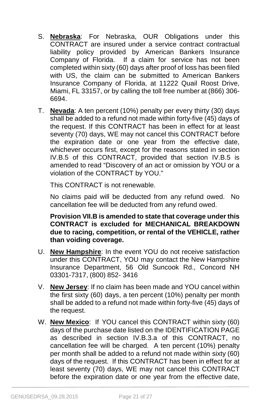- S. **Nebraska**: For Nebraska, OUR Obligations under this CONTRACT are insured under a service contract contractual liability policy provided by American Bankers Insurance Company of Florida. If a claim for service has not been completed within sixty (60) days after proof of loss has been filed with US, the claim can be submitted to American Bankers Insurance Company of Florida, at 11222 Quail Roost Drive, Miami, FL 33157, or by calling the toll free number at (866) 306- 6694.
- T. **Nevada**: A ten percent (10%) penalty per every thirty (30) days shall be added to a refund not made within forty-five (45) days of the request. If this CONTRACT has been in effect for at least seventy (70) days, WE may not cancel this CONTRACT before the expiration date or one year from the effective date, whichever occurs first, except for the reasons stated in section IV.B.5 of this CONTRACT, provided that section IV.B.5 is amended to read "Discovery of an act or omission by YOU or a violation of the CONTRACT by YOU."

This CONTRACT is not renewable.

No claims paid will be deducted from any refund owed. No cancellation fee will be deducted from any refund owed.

#### **Provision VII.B is amended to state that coverage under this CONTRACT is excluded for MECHANICAL BREAKDOWN due to racing, competition, or rental of the VEHICLE, rather than voiding coverage.**

- U. **New Hampshire**: In the event YOU do not receive satisfaction under this CONTRACT, YOU may contact the New Hampshire Insurance Department, 56 Old Suncook Rd., Concord NH 03301-7317, (800) 852- 3416
- V. **New Jersey**: If no claim has been made and YOU cancel within the first sixty (60) days, a ten percent (10%) penalty per month shall be added to a refund not made within forty-five (45) days of the request.
- W. **New Mexico**: If YOU cancel this CONTRACT within sixty (60) days of the purchase date listed on the IDENTIFICATION PAGE as described in section IV.B.3.a of this CONTRACT, no cancellation fee will be charged. A ten percent (10%) penalty per month shall be added to a refund not made within sixty (60) days of the request. If this CONTRACT has been in effect for at least seventy (70) days, WE may not cancel this CONTRACT before the expiration date or one year from the effective date,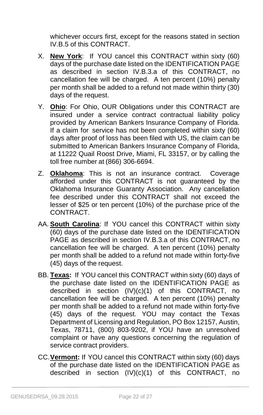whichever occurs first, except for the reasons stated in section IV.B.5 of this CONTRACT.

- X. **New York**: If YOU cancel this CONTRACT within sixty (60) days of the purchase date listed on the IDENTIFICATION PAGE as described in section IV.B.3.a of this CONTRACT, no cancellation fee will be charged. A ten percent (10%) penalty per month shall be added to a refund not made within thirty (30) days of the request.
- Y. **Ohio**: For Ohio, OUR Obligations under this CONTRACT are insured under a service contract contractual liability policy provided by American Bankers Insurance Company of Florida. If a claim for service has not been completed within sixty (60) days after proof of loss has been filed with US, the claim can be submitted to American Bankers Insurance Company of Florida, at 11222 Quail Roost Drive, Miami, FL 33157, or by calling the toll free number at (866) 306-6694.
- Z. **Oklahoma**: This is not an insurance contract. Coverage afforded under this CONTRACT is not guaranteed by the Oklahoma Insurance Guaranty Association. Any cancellation fee described under this CONTRACT shall not exceed the lesser of \$25 or ten percent (10%) of the purchase price of the **CONTRACT**
- AA. **South Carolina**: If YOU cancel this CONTRACT within sixty (60) days of the purchase date listed on the IDENTIFICATION PAGE as described in section IV.B.3.a of this CONTRACT, no cancellation fee will be charged. A ten percent (10%) penalty per month shall be added to a refund not made within forty-five (45) days of the request.
- BB. **Texas:** If YOU cancel this CONTRACT within sixty (60) days of the purchase date listed on the IDENTIFICATION PAGE as described in section (IV)(c)(1) of this CONTRACT, no cancellation fee will be charged. A ten percent (10%) penalty per month shall be added to a refund not made within forty-five (45) days of the request. YOU may contact the Texas Department of Licensing and Regulation, PO Box 12157, Austin, Texas, 78711, (800) 803-9202, if YOU have an unresolved complaint or have any questions concerning the regulation of service contract providers.
- CC.**Vermont:** If YOU cancel this CONTRACT within sixty (60) days of the purchase date listed on the IDENTIFICATION PAGE as described in section (IV)(c)(1) of this CONTRACT, no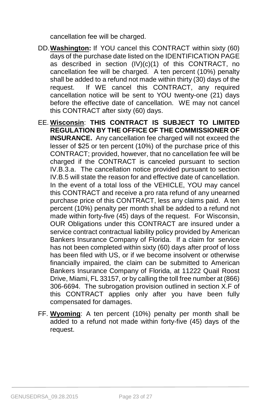cancellation fee will be charged.

- DD.**Washington:** If YOU cancel this CONTRACT within sixty (60) days of the purchase date listed on the IDENTIFICATION PAGE as described in section (IV)(c)(1) of this CONTRACT, no cancellation fee will be charged. A ten percent (10%) penalty shall be added to a refund not made within thirty (30) days of the request. If WE cancel this CONTRACT, any required cancellation notice will be sent to YOU twenty-one (21) days before the effective date of cancellation. WE may not cancel this CONTRACT after sixty (60) days.
- EE. **Wisconsin**: **THIS CONTRACT IS SUBJECT TO LIMITED REGULATION BY THE OFFICE OF THE COMMISSIONER OF INSURANCE.** Any cancellation fee charged will not exceed the lesser of \$25 or ten percent (10%) of the purchase price of this CONTRACT; provided, however, that no cancellation fee will be charged if the CONTRACT is canceled pursuant to section IV.B.3.a. The cancellation notice provided pursuant to section IV.B.5 will state the reason for and effective date of cancellation. In the event of a total loss of the VEHICLE, YOU may cancel this CONTRACT and receive a pro rata refund of any unearned purchase price of this CONTRACT, less any claims paid. A ten percent (10%) penalty per month shall be added to a refund not made within forty-five (45) days of the request. For Wisconsin, OUR Obligations under this CONTRACT are insured under a service contract contractual liability policy provided by American Bankers Insurance Company of Florida. If a claim for service has not been completed within sixty (60) days after proof of loss has been filed with US, or if we become insolvent or otherwise financially impaired, the claim can be submitted to American Bankers Insurance Company of Florida, at 11222 Quail Roost Drive, Miami, FL 33157, or by calling the toll free number at (866) 306-6694. The subrogation provision outlined in section X.F of this CONTRACT applies only after you have been fully compensated for damages.
- FF. **Wyoming**: A ten percent (10%) penalty per month shall be added to a refund not made within forty-five (45) days of the request.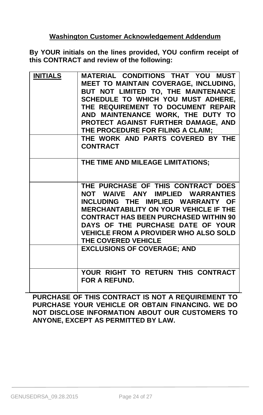# **Washington Customer Acknowledgement Addendum**

**By YOUR initials on the lines provided, YOU confirm receipt of this CONTRACT and review of the following:**

| <b>INITIALS</b> | MATERIAL CONDITIONS THAT YOU MUST<br>MEET TO MAINTAIN COVERAGE, INCLUDING,<br>BUT NOT LIMITED TO, THE MAINTENANCE<br>SCHEDULE TO WHICH YOU MUST ADHERE,<br>THE REQUIREMENT TO DOCUMENT REPAIR<br>AND MAINTENANCE WORK, THE DUTY TO<br>PROTECT AGAINST FURTHER DAMAGE, AND<br>THE PROCEDURE FOR FILING A CLAIM;<br>THE WORK AND PARTS COVERED BY THE<br><b>CONTRACT</b> |
|-----------------|------------------------------------------------------------------------------------------------------------------------------------------------------------------------------------------------------------------------------------------------------------------------------------------------------------------------------------------------------------------------|
|                 | THE TIME AND MILEAGE LIMITATIONS;                                                                                                                                                                                                                                                                                                                                      |
|                 | THE PURCHASE OF THIS CONTRACT DOES<br>NOT WAIVE ANY IMPLIED WARRANTIES<br>INCLUDING THE IMPLIED WARRANTY OF<br><b>MERCHANTABILITY ON YOUR VEHICLE IF THE</b><br><b>CONTRACT HAS BEEN PURCHASED WITHIN 90</b><br>DAYS OF THE PURCHASE DATE OF YOUR<br><b>VEHICLE FROM A PROVIDER WHO ALSO SOLD</b><br>THE COVERED VEHICLE<br><b>EXCLUSIONS OF COVERAGE; AND</b>         |
|                 | YOUR RIGHT TO RETURN THIS CONTRACT                                                                                                                                                                                                                                                                                                                                     |
|                 | FOR A REFUND.                                                                                                                                                                                                                                                                                                                                                          |

**PURCHASE OF THIS CONTRACT IS NOT A REQUIREMENT TO PURCHASE YOUR VEHICLE OR OBTAIN FINANCING. WE DO NOT DISCLOSE INFORMATION ABOUT OUR CUSTOMERS TO ANYONE, EXCEPT AS PERMITTED BY LAW.**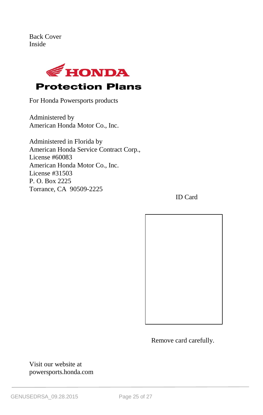Back Cover Inside



For Honda Powersports products

Administered by American Honda Motor Co., Inc.

Administered in Florida by American Honda Service Contract Corp., License #60083 American Honda Motor Co., Inc. License #31503 P. O. Box 2225 Torrance, CA 90509-2225

ID Card

Remove card carefully.

Visit our website at powersports.honda.com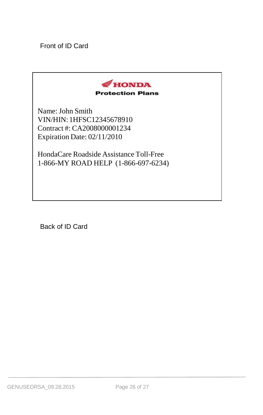Front of ID Card



Name: John Smith VIN/HIN:1HFSC12345678910 Contract #: CA2008000001234 Expiration Date: 02/11/2010

HondaCare Roadside Assistance Toll-Free 1-866-MY ROAD HELP (1-866-697-6234)

Back of ID Card